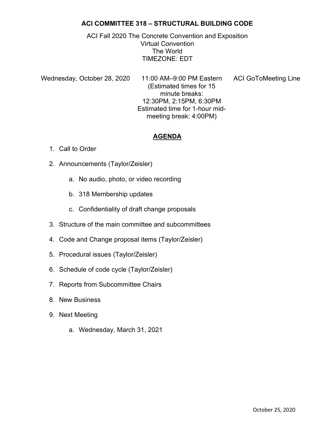# ACI COMMITTEE 318 – STRUCTURAL BUILDING CODE

ACI Fall 2020 The Concrete Convention and Exposition Virtual Convention The World TIMEZONE: EDT

Wednesday, October 28, 2020 11:00 AM–9:00 PM Eastern ACI GoToMeeting Line (Estimated times for 15 minute breaks: 12:30PM, 2:15PM, 6:30PM Estimated time for 1-hour midmeeting break: 4:00PM)

# AGENDA

- 1. Call to Order
- 2. Announcements (Taylor/Zeisler)
	- a. No audio, photo, or video recording
	- b. 318 Membership updates
	- c. Confidentiality of draft change proposals
- 3. Structure of the main committee and subcommittees
- 4. Code and Change proposal items (Taylor/Zeisler)
- 5. Procedural issues (Taylor/Zeisler)
- 6. Schedule of code cycle (Taylor/Zeisler)
- 7. Reports from Subcommittee Chairs
- 8. New Business
- 9. Next Meeting
	- a. Wednesday, March 31, 2021